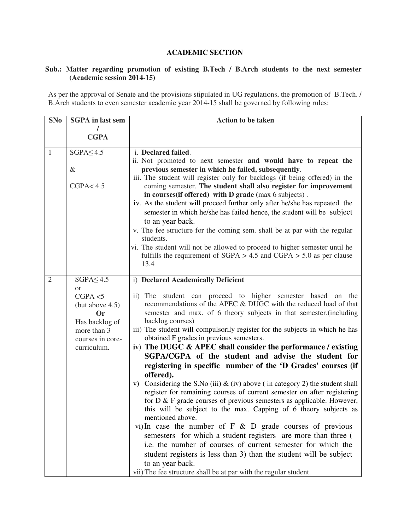## **ACADEMIC SECTION**

## **Sub.: Matter regarding promotion of existing B.Tech / B.Arch students to the next semester (Academic session 2014-15)**

As per the approval of Senate and the provisions stipulated in UG regulations, the promotion of B.Tech. / B.Arch students to even semester academic year 2014-15 shall be governed by following rules:

| <b>SNo</b>     | <b>SGPA</b> in last sem   | <b>Action to be taken</b>                                                              |
|----------------|---------------------------|----------------------------------------------------------------------------------------|
|                |                           |                                                                                        |
|                | <b>CGPA</b>               |                                                                                        |
| 1              | $SGPA \leq 4.5$           | i. Declared failed.                                                                    |
|                |                           | ii. Not promoted to next semester and would have to repeat the                         |
|                | $\&$                      | previous semester in which he failed, subsequently.                                    |
|                |                           | iii. The student will register only for backlogs (if being offered) in the             |
|                | CGPA < 4.5                | coming semester. The student shall also register for improvement                       |
|                |                           | in courses (if offered) with D grade (max 6 subjects).                                 |
|                |                           | iv. As the student will proceed further only after he/she has repeated the             |
|                |                           | semester in which he/she has failed hence, the student will be subject                 |
|                |                           | to an year back.                                                                       |
|                |                           | v. The fee structure for the coming sem. shall be at par with the regular<br>students. |
|                |                           | vi. The student will not be allowed to proceed to higher semester until he             |
|                |                           | fulfills the requirement of $SGPA > 4.5$ and $CGPA > 5.0$ as per clause                |
|                |                           | 13.4                                                                                   |
|                |                           |                                                                                        |
| $\overline{2}$ | $SGPA \leq 4.5$           | i) Declared Academically Deficient                                                     |
|                | <sub>or</sub><br>CGPA < 5 | ii) The student can proceed to higher semester based on the                            |
|                | (but above $4.5$ )        | recommendations of the APEC & DUGC with the reduced load of that                       |
|                | Or                        | semester and max. of 6 theory subjects in that semester. (including                    |
|                | Has backlog of            | backlog courses)                                                                       |
|                | more than 3               | iii) The student will compulsorily register for the subjects in which he has           |
|                | courses in core-          | obtained F grades in previous semesters.                                               |
|                | curriculum.               | iv) The DUGC & APEC shall consider the performance / existing                          |
|                |                           | SGPA/CGPA of the student and advise the student for                                    |
|                |                           | registering in specific number of the 'D Grades' courses (if                           |
|                |                           | offered).                                                                              |
|                |                           | v) Considering the S.No (iii) $\&$ (iv) above (in category 2) the student shall        |
|                |                           | register for remaining courses of current semester on after registering                |
|                |                           | for D & F grade courses of previous semesters as applicable. However,                  |
|                |                           | this will be subject to the max. Capping of 6 theory subjects as<br>mentioned above.   |
|                |                           | vi) In case the number of $F \& D$ grade courses of previous                           |
|                |                           | semesters for which a student registers are more than three (                          |
|                |                           | i.e. the number of courses of current semester for which the                           |
|                |                           | student registers is less than 3) than the student will be subject                     |
|                |                           | to an year back.                                                                       |
|                |                           | vii) The fee structure shall be at par with the regular student.                       |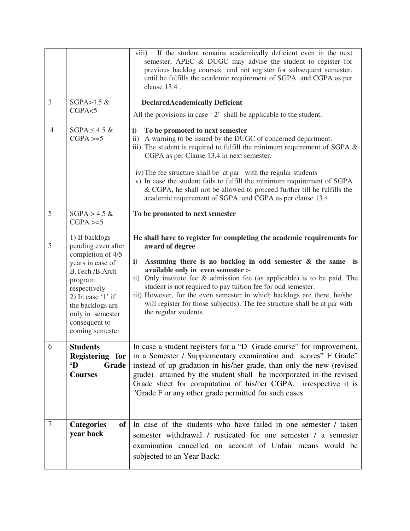|                |                                                                                                                                                                                                                               | If the student remains academically deficient even in the next<br>viii)<br>semester, APEC & DUGC may advise the student to register for<br>previous backlog courses and not register for subsequent semester,<br>until he fulfills the academic requirement of SGPA and CGPA as per<br>clause 13.4.                                                                                                                                                                                                                                                             |
|----------------|-------------------------------------------------------------------------------------------------------------------------------------------------------------------------------------------------------------------------------|-----------------------------------------------------------------------------------------------------------------------------------------------------------------------------------------------------------------------------------------------------------------------------------------------------------------------------------------------------------------------------------------------------------------------------------------------------------------------------------------------------------------------------------------------------------------|
| 3              | SGPA>4.5 &                                                                                                                                                                                                                    | <b>DeclaredAcademically Deficient</b>                                                                                                                                                                                                                                                                                                                                                                                                                                                                                                                           |
|                | CGPA < 5                                                                                                                                                                                                                      | All the provisions in case $2$ shall be applicable to the student.                                                                                                                                                                                                                                                                                                                                                                                                                                                                                              |
| $\overline{4}$ | $SGPA \leq 4.5$ &<br>$CGPA \geq 5$                                                                                                                                                                                            | To be promoted to next semester<br>i)<br>ii) A warning to be issued by the DUGC of concerned department.<br>iii) The student is required to fulfill the minimum requirement of SGPA $\&$<br>CGPA as per Clause 13.4 in next semester.                                                                                                                                                                                                                                                                                                                           |
|                |                                                                                                                                                                                                                               | iv) The fee structure shall be at par with the regular students<br>v) In case the student fails to fulfill the minimum requirement of SGPA<br>& CGPA, he shall not be allowed to proceed further till he fulfills the<br>academic requirement of SGPA and CGPA as per clause 13.4                                                                                                                                                                                                                                                                               |
| 5              | $SGPA > 4.5 \&$<br>$CGPA \geq 5$                                                                                                                                                                                              | To be promoted to next semester                                                                                                                                                                                                                                                                                                                                                                                                                                                                                                                                 |
| 5              | 1) If backlogs<br>pending even after<br>completion of 4/5<br>years in case of<br>B.Tech /B.Arch<br>program<br>respectively<br>2) In case $'1'$ if<br>the backlogs are<br>only in semester<br>consequent to<br>coming semester | He shall have to register for completing the academic requirements for<br>award of degree<br>$\mathbf{i}$<br>Assuming there is no backlog in odd semester $\&$ the same is<br>available only in even semester :-<br>Only institute fee $\&$ admission fee (as applicable) is to be paid. The<br>$\mathbf{ii}$<br>student is not required to pay tuition fee for odd semester.<br>iii) However, for the even semester in which backlogs are there, he/she<br>will register for those subject(s). The fee structure shall be at par with<br>the regular students. |
| 6              | <b>Students</b><br>Registering for<br>$\mathbf{D}$<br>Grade<br><b>Courses</b>                                                                                                                                                 | In case a student registers for a "D Grade course" for improvement,<br>in a Semester / Supplementary examination and scores" F Grade"<br>instead of up-gradation in his/her grade, than only the new (revised<br>grade) attained by the student shall be incorporated in the revised<br>Grade sheet for computation of his/her CGPA, irrespective it is<br>"Grade F or any other grade permitted for such cases.                                                                                                                                                |
| 7.             | <b>Categories</b><br>of<br>year back                                                                                                                                                                                          | In case of the students who have failed in one semester / taken<br>semester withdrawal / rusticated for one semester / a semester<br>examination cancelled on account of Unfair means would be<br>subjected to an Year Back:                                                                                                                                                                                                                                                                                                                                    |